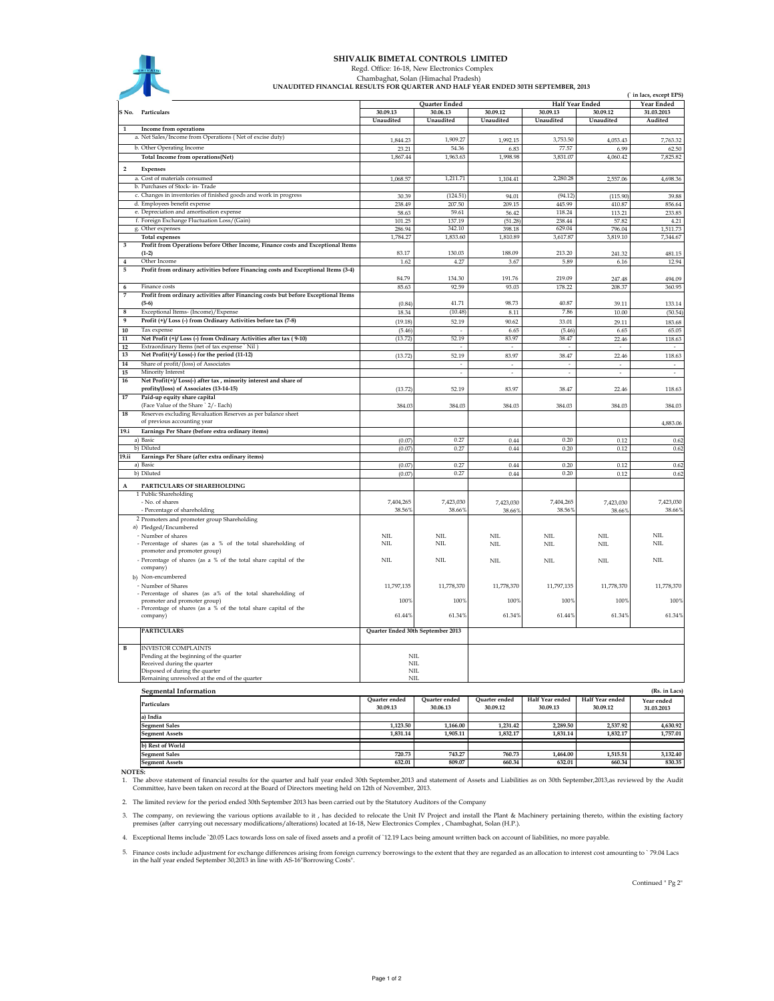

## SHIVALIK BIMETAL CONTROLS LIMITED

 Regd. Office: 16-18, New Electronics Complex Chambaghat, Solan (Himachal Pradesh)

UNAUDITED FINANCIAL RESULTS FOR QUARTER AND HALF YEAR ENDED 30TH SEPTEMBER, 2013

|                 |                                                                                               |                                   |                   |                                   |                          | ( in lacs, except EPS)   |                                    |  |  |
|-----------------|-----------------------------------------------------------------------------------------------|-----------------------------------|-------------------|-----------------------------------|--------------------------|--------------------------|------------------------------------|--|--|
|                 |                                                                                               |                                   | Quarter Ended     |                                   |                          | Half Year Ended          | Year Ended                         |  |  |
|                 | S.No. Particulars                                                                             | 30.09.13                          | 30.06.13          | 30.09.12                          | 30.09.13                 | 30.09.12                 | 31.03.2013                         |  |  |
| $\mathbf{1}$    |                                                                                               | Unaudited                         | Unaudited         | Unaudited                         | Unaudited                | Unaudited                | Audited                            |  |  |
|                 | Income from operations<br>a. Net Sales/Income from Operations (Net of excise duty)            |                                   |                   |                                   |                          |                          |                                    |  |  |
|                 | b. Other Operating Income                                                                     | 1,844.23                          | 1,909.27          | 1,992.15                          | 3,753.50                 | 4,053.43                 | 7,763.32                           |  |  |
|                 | Total Income from operations(Net)                                                             | 23.21<br>1,867.44                 | 54.36<br>1,963.63 | 6.83<br>1,998.98                  | 77.57<br>3,831.07        | 6.99<br>4,060.42         | 62.50<br>7,825.82                  |  |  |
|                 |                                                                                               |                                   |                   |                                   |                          |                          |                                    |  |  |
| $\overline{2}$  | <b>Expenses</b>                                                                               |                                   |                   |                                   |                          |                          |                                    |  |  |
|                 | a. Cost of materials consumed                                                                 | 1,068.57                          | 1,211.71          | 1,104.41                          | 2.280.28                 | 2,557.06                 | 4,698.36                           |  |  |
|                 | b. Purchases of Stock- in-Trade                                                               |                                   |                   |                                   |                          |                          |                                    |  |  |
|                 | c. Changes in inventories of finished goods and work in progress                              | 30.39                             | (124.51)          | 94.01                             | (94.12)                  | (115.90)                 | 39.88                              |  |  |
|                 | d. Employees benefit expense<br>e. Depreciation and amortisation expense                      | 238.49<br>58.63                   | 207.50<br>59.61   | 209.15                            | 445.99<br>118.24         | 410.87<br>113.21         | 856.64<br>233.85                   |  |  |
|                 | f. Foreign Exchange Fluctuation Loss/(Gain)                                                   | 101.25                            | 137.19            | 56.42<br>(51.28)                  | 238.44                   | 57.82                    | 4.21                               |  |  |
|                 | g. Other expenses                                                                             | 286.94                            | 342.10            | 398.18                            | 629.04                   | 796.04                   | 1,511.73                           |  |  |
|                 | <b>Total expenses</b>                                                                         | 1,784.27                          | 1,833.60          | 1,810.89                          | 3,617.87                 | 3,819.10                 | 7,344.67                           |  |  |
| 3               | Profit from Operations before Other Income, Finance costs and Exceptional Items               |                                   |                   |                                   |                          |                          |                                    |  |  |
|                 | $(1-2)$                                                                                       | 83.17                             | 130.03            | 188.09                            | 213.20                   | 241.32                   | 481.15                             |  |  |
| $\bf{4}$        | Other Income                                                                                  | 1.62                              | 4.27              | 3.67                              | 5.89                     | 6.16                     | 12.94                              |  |  |
| 5               | Profit from ordinary activities before Financing costs and Exceptional Items (3-4)            |                                   |                   |                                   |                          |                          |                                    |  |  |
|                 |                                                                                               | 84.79                             | 134.30            | 191.76                            | 219.09                   | 247.48                   | 494.09                             |  |  |
| 6               | Finance costs                                                                                 | 85.63                             | 92.59             | 93.03                             | 178.22                   | 208.37                   | 360.95                             |  |  |
| 7               | Profit from ordinary activities after Financing costs but before Exceptional Items            |                                   |                   |                                   |                          |                          |                                    |  |  |
|                 | $(5-6)$                                                                                       | (0.84)                            | 41.71             | 98.73                             | 40.87                    | 39.11                    | 133.14                             |  |  |
| $\bf8$          | Exceptional Items- (Income)/Expense                                                           | 18.34                             | (10.48)           | 8.11                              | 7.86                     | 10.00                    | (50.54)                            |  |  |
| 9               | Profit (+)/ Loss (-) from Ordinary Activities before tax (7-8)                                | (19.18)                           | 52.19             | 90.62                             | 33.01                    | 29.11                    | 183.68                             |  |  |
| 10              | Tax expense                                                                                   | (5.46)                            |                   | 6.65                              | (5.46)                   | 6.65                     | 65.05                              |  |  |
| $\bf{11}$<br>12 | Net Profit (+)/Loss (-) from Ordinary Activities after tax (9-10)                             | (13.72)                           | 52.19             | 83.97                             | 38.47                    | 22.46                    | 118.63                             |  |  |
| 13              | Extraordinary Items (net of tax expense `Nil)<br>Net Profit(+)/Loss(-) for the period (11-12) | (13.72)                           | 52.19             | $\overline{\phantom{a}}$<br>83.97 | 38.47                    |                          |                                    |  |  |
| 14              | Share of profit/(loss) of Associates                                                          |                                   |                   | ÷.                                | ÷                        | 22.46                    | 118.63<br>$\overline{\phantom{a}}$ |  |  |
| 15              | Minority Interest                                                                             |                                   | ÷.                | ÷                                 | $\overline{\phantom{a}}$ | $\overline{\phantom{a}}$ | ÷                                  |  |  |
| 16              | Net Profit(+)/Loss(-) after tax, minority interest and share of                               |                                   |                   |                                   |                          |                          |                                    |  |  |
|                 | profits/(loss) of Associates (13-14-15)                                                       | (13.72)                           | 52.19             | 83.97                             | 38.47                    | 22.46                    | 118.63                             |  |  |
| 17              | Paid-up equity share capital                                                                  |                                   |                   |                                   |                          |                          |                                    |  |  |
|                 | (Face Value of the Share ` 2/- Each)                                                          | 384.03                            | 384.03            | 384.03                            | 384.03                   | 384.03                   | 384.03                             |  |  |
| 18              | Reserves excluding Revaluation Reserves as per balance sheet                                  |                                   |                   |                                   |                          |                          |                                    |  |  |
|                 | of previous accounting year                                                                   |                                   |                   |                                   |                          |                          | 4,883.06                           |  |  |
| 19.i            | Earnings Per Share (before extra ordinary items)                                              |                                   |                   |                                   |                          |                          |                                    |  |  |
|                 | a) Basic                                                                                      | (0.07)                            | 0.27              | 0.44                              | 0.20                     | 0.12                     | 0.62                               |  |  |
|                 | b) Diluted                                                                                    | (0.07)                            | 0.27              | 0.44                              | 0.20                     | 0.12                     | 0.62                               |  |  |
| 19.ii           | Earnings Per Share (after extra ordinary items)                                               |                                   |                   |                                   |                          |                          |                                    |  |  |
|                 | a) Basic                                                                                      | (0.07)                            | 0.27              | $0.44\,$                          | 0.20                     | 0.12                     | 0.62                               |  |  |
|                 | b) Diluted                                                                                    | (0.07)                            | 0.27              | 0.44                              | 0.20                     | 0.12                     | 0.62                               |  |  |
| A               | PARTICULARS OF SHAREHOLDING                                                                   |                                   |                   |                                   |                          |                          |                                    |  |  |
|                 | 1 Public Shareholding                                                                         |                                   |                   |                                   |                          |                          |                                    |  |  |
|                 | - No. of shares                                                                               | 7,404,265                         | 7.423.030         | 7,423,030                         | 7.404.265                | 7,423,030                | 7,423,030                          |  |  |
|                 | - Percentage of shareholding                                                                  | 38.56%                            | 38.66%            | 38.669                            | 38.56%                   | 38.66%                   | 38.66%                             |  |  |
|                 | 2 Promoters and promoter group Shareholding                                                   |                                   |                   |                                   |                          |                          |                                    |  |  |
|                 | a) Pledged/Encumbered                                                                         |                                   |                   |                                   |                          |                          |                                    |  |  |
|                 | - Number of shares                                                                            | NIL                               | NIL               | NIL                               | NII.                     | NIL                      | NIL                                |  |  |
|                 | - Percentage of shares (as a % of the total shareholding of<br>promoter and promoter group)   | <b>NIL</b>                        | <b>NIL</b>        | NII.                              | NIL                      | NIL                      | NIL                                |  |  |
|                 |                                                                                               | <b>NIL</b>                        | <b>NIL</b>        |                                   |                          |                          | NIL                                |  |  |
|                 | - Percentage of shares (as a % of the total share capital of the<br>company)                  |                                   |                   | NIL                               | NIL                      | $NIL$                    |                                    |  |  |
|                 | b) Non-encumbered                                                                             |                                   |                   |                                   |                          |                          |                                    |  |  |
|                 | - Number of Shares                                                                            | 11,797,135                        | 11,778,370        | 11,778,370                        | 11,797,135               | 11,778,370               | 11,778,370                         |  |  |
|                 | - Percentage of shares (as a% of the total shareholding of                                    |                                   |                   |                                   |                          |                          |                                    |  |  |
|                 | promoter and promoter group)                                                                  | 100%                              | 100%              | 100%                              | 100%                     | 100%                     | 100%                               |  |  |
|                 | - Percentage of shares (as a % of the total share capital of the                              |                                   |                   |                                   |                          |                          |                                    |  |  |
|                 | company)                                                                                      | 61.44%                            | 61.34%            | 61.34%                            | 61.44%                   | 61.34%                   | 61.34%                             |  |  |
|                 | <b>PARTICULARS</b>                                                                            | Quarter Ended 30th September 2013 |                   |                                   |                          |                          |                                    |  |  |
|                 |                                                                                               |                                   |                   |                                   |                          |                          |                                    |  |  |
| $\, {\bf B}$    | <b>INVESTOR COMPLAINTS</b>                                                                    |                                   |                   |                                   |                          |                          |                                    |  |  |
|                 | Pending at the beginning of the quarter                                                       | NIL                               |                   |                                   |                          |                          |                                    |  |  |
|                 | Received during the quarter                                                                   | NIL                               |                   |                                   |                          |                          |                                    |  |  |
|                 | Disposed of during the quarter                                                                | NIL                               |                   |                                   |                          |                          |                                    |  |  |
|                 | Remaining unresolved at the end of the quarter                                                | NII.                              |                   |                                   |                          |                          |                                    |  |  |
|                 | <b>Segmental Information</b>                                                                  |                                   |                   |                                   |                          |                          | (Rs. in Lacs)                      |  |  |
|                 |                                                                                               | <b>Ouarter</b> ended              | Quarter ended     | Quarter ended                     | Half Year ended          | Half Year ended          | Year ended                         |  |  |
|                 | Particulars                                                                                   | 30.09.13                          | 30.06.13          | 30.09.12                          | 30.09.13                 | 30.09.12                 | 31.03.2013                         |  |  |
|                 | a) India                                                                                      |                                   |                   |                                   |                          |                          |                                    |  |  |
|                 | Segment Sales                                                                                 | 1,123.50                          | 1,166.00          | 1,231.42                          | 2.289.50                 | 2,537.92                 | 4,630.92                           |  |  |

NOTES:

Segment Assets b) Rest of World Segment Sale **Segment As** 

1. The above statement of financial results for the quarter and half year ended 30th September,2013 and statement of Assets and Liabilities as on 30th September,2013,as reviewed by the Audit<br>Committee, have been taken on r

 1,905.11 1,831.14 1,832.17 1,831.14 1,832.17 1,757.01 743.27 720.73 760.73 1,464.00 1,515.51 3,132.40 809.07 632.01 660.34 632.01 660.34 830.35

2. The limited review for the period ended 30th September 2013 has been carried out by the Statutory Auditors of the Company

3. The company, on reviewing the various options available to it , has decided to relocate the Unit IV Project and install the Plant & Machinery pertaining thereto, within the existing factory<br>premises (after carrying out

4. Exceptional Items include `20.05 Lacs towards loss on sale of fixed assets and a profit of `12.19 Lacs being amount written back on account of liabilities, no more payable.

5. Finance costs include adjustment for exchange differences arising from foreign currency borrowings to the extent that they are regarded as an allocation to interest cost amounting to `79.04 Lacs<br>in the half year ended S

Continued " Pg 2"